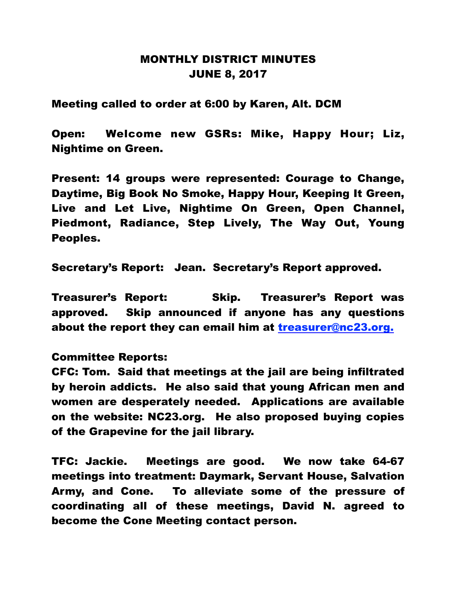## MONTHLY DISTRICT MINUTES JUNE 8, 2017

Meeting called to order at 6:00 by Karen, Alt. DCM

Open: Welcome new GSRs: Mike, Happy Hour; Liz, Nightime on Green.

Present: 14 groups were represented: Courage to Change, Daytime, Big Book No Smoke, Happy Hour, Keeping It Green, Live and Let Live, Nightime On Green, Open Channel, Piedmont, Radiance, Step Lively, The Way Out, Young Peoples.

Secretary's Report: Jean. Secretary's Report approved.

Treasurer's Report: Skip. Treasurer's Report was approved. Skip announced if anyone has any questions about the report they can email him at treasurer@nc23.org.

## Committee Reports:

CFC: Tom. Said that meetings at the jail are being infiltrated by heroin addicts. He also said that young African men and women are desperately needed. Applications are available on the website: NC23.org. He also proposed buying copies of the Grapevine for the jail library.

TFC: Jackie. Meetings are good. We now take 64-67 meetings into treatment: Daymark, Servant House, Salvation Army, and Cone. To alleviate some of the pressure of coordinating all of these meetings, David N. agreed to become the Cone Meeting contact person.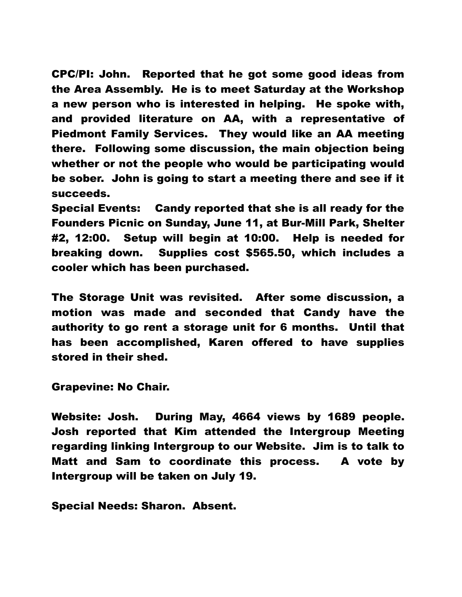CPC/PI: John. Reported that he got some good ideas from the Area Assembly. He is to meet Saturday at the Workshop a new person who is interested in helping. He spoke with, and provided literature on AA, with a representative of Piedmont Family Services. They would like an AA meeting there. Following some discussion, the main objection being whether or not the people who would be participating would be sober. John is going to start a meeting there and see if it succeeds.

Special Events: Candy reported that she is all ready for the Founders Picnic on Sunday, June 11, at Bur-Mill Park, Shelter #2, 12:00. Setup will begin at 10:00. Help is needed for breaking down. Supplies cost \$565.50, which includes a cooler which has been purchased.

The Storage Unit was revisited. After some discussion, a motion was made and seconded that Candy have the authority to go rent a storage unit for 6 months. Until that has been accomplished, Karen offered to have supplies stored in their shed.

Grapevine: No Chair.

Website: Josh. During May, 4664 views by 1689 people. Josh reported that Kim attended the Intergroup Meeting regarding linking Intergroup to our Website. Jim is to talk to Matt and Sam to coordinate this process. A vote by Intergroup will be taken on July 19.

Special Needs: Sharon. Absent.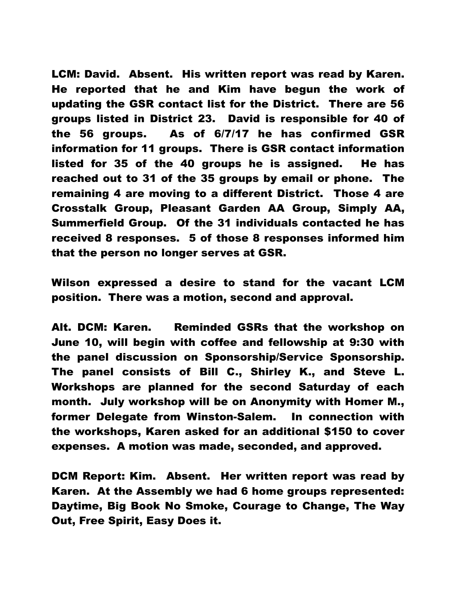LCM: David. Absent. His written report was read by Karen. He reported that he and Kim have begun the work of updating the GSR contact list for the District. There are 56 groups listed in District 23. David is responsible for 40 of the 56 groups. As of 6/7/17 he has confirmed GSR information for 11 groups. There is GSR contact information listed for 35 of the 40 groups he is assigned. He has reached out to 31 of the 35 groups by email or phone. The remaining 4 are moving to a different District. Those 4 are Crosstalk Group, Pleasant Garden AA Group, Simply AA, Summerfield Group. Of the 31 individuals contacted he has received 8 responses. 5 of those 8 responses informed him that the person no longer serves at GSR.

Wilson expressed a desire to stand for the vacant LCM position. There was a motion, second and approval.

Alt. DCM: Karen. Reminded GSRs that the workshop on June 10, will begin with coffee and fellowship at 9:30 with the panel discussion on Sponsorship/Service Sponsorship. The panel consists of Bill C., Shirley K., and Steve L. Workshops are planned for the second Saturday of each month. July workshop will be on Anonymity with Homer M., former Delegate from Winston-Salem. In connection with the workshops, Karen asked for an additional \$150 to cover expenses. A motion was made, seconded, and approved.

DCM Report: Kim. Absent. Her written report was read by Karen. At the Assembly we had 6 home groups represented: Daytime, Big Book No Smoke, Courage to Change, The Way Out, Free Spirit, Easy Does it.